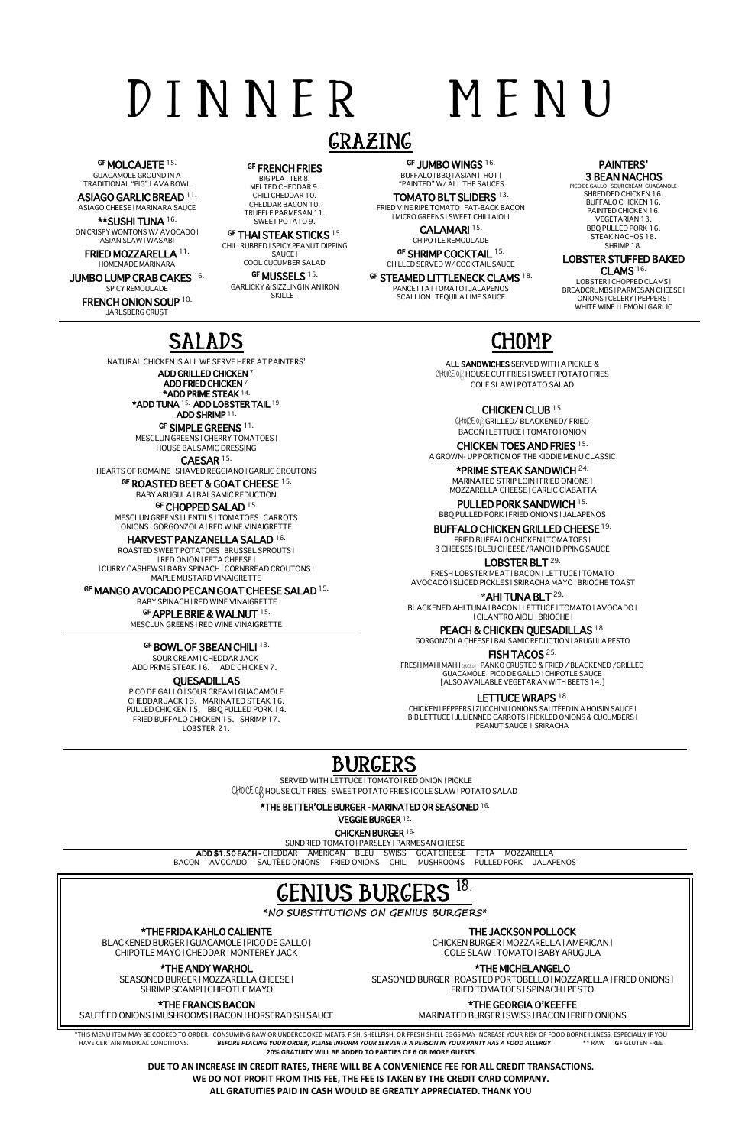# D I N N E R M E N U

### GRAZING

GF MOLCAJETE 15.

GUACAMOLE GROUND IN A TRADITIONAL "PIG" LAVA BOWL

ASIAGO GARLIC BREAD 11. ASIAGO CHEESE | MARINARA SAUCE

\*\*SUSHI TUNA 16. ON CRISPY WONTONS W/ AVOCADO | ASIAN SLAW | WASABI

**GF FRENCH FRIES**<br>BIG PLATTER 8. MELTED CHEDDAR 9. CHILI CHEDDAR 10. CHEDDAR BACON 10. TRUFFLE PARMESAN 11. SWEET POTATO 9.

FRIED MOZZARELLA 11. HOMEMADE MARINARA

GF THAI STEAK STICKS<sup>15.</sup> CHILI RUBBED | SPICY PEANUT DIPPING SAUCE |

JUMBO LUMP CRAB CAKES 16. SPICY REMOULADE

**FRENCH ONION SOUP** 10.<br>JARLSBERG CRUST

GF JUMBO WINGS 16. BUFFALO | BBQ | ASIAN | HOT | "PAINTED" W/ ALL THE SAUCES

GF SHRIMP COCKTAIL 15. CHILLED SERVED W/ COCKTAIL SAUCE

GF STEAMED LITTLENECK CLAMS<sup>18.</sup><br>PANCETTA I TOMATO I JALAPENOS SCALLION | TEQUILA LIME SAUCE

#### PAINTERS' **3 BEAN NACHOS**<br>PICO DE GALLO SOUR CREAM GUACAMOLE

COOL CUCUMBER SALAD GF MUSSELS 15. GARLICKY & SIZZLING IN AN IRON

SKILLET

LOBSTER | CHOPPED CLAMS | BREADCRUMBS | PARMESAN CHEESE | ONIONS | CELERY | PEPPERS | WHITE WINE | LEMON | GARLIC

\*ADD TUNA 15. ADD LOBSTER TAIL 19. ADD SHRIMP 11.

GF SIMPLE GREENS 11.

TOMATO BLT SLIDERS 13. FRIED VINE RIPE TOMATO | FAT-BACK BACON | MICRO GREENS | SWEET CHILI AIOLI

> CALAMARI 15. CHIPOTLE REMOULADE

SHREDDED CHICKEN 16. BUFFALO CHICKEN 16. PAINTED CHICKEN 16. VEGETARIAN 13. BBQ PULLED PORK 16. STEAK NACHOS 18. SHRIMP 18.

LOBSTER STUFFED BAKED CLAMS 16.

**CHOICE OR GRILLED/ BLACKENED/ FRIED** BACON | LETTUCE | TOMATO | ONION

### SALADS

NATURAL CHICKEN IS ALL WE SERVE HERE AT PAINTERS'

ADD GRILLED CHICKEN 7. ADD FRIED CHICKEN 7. \*ADD PRIME STEAK 14.

MESCLUN GREENS | CHERRY TOMATOES | HOUSE BALSAMIC DRESSING

CAESAR 15.

HEARTS OF ROMAINE | SHAVED REGGIANO | GARLIC CROUTONS

#### GF ROASTED BEET & GOAT CHEESE 15.

BABY ARUGULA | BALSAMIC REDUCTION

GF CHOPPED SALAD 15.

CHICKEN | PEPPERS | ZUCCHINI | ONIONS SAUTÉED IN A HOISIN SAUCE | BIB LETTUCE | JULIENNED CARROTS | PICKLED ONIONS & CUCUMBERS | PEANUT SAUCE | SRIRACHA

MESCLUN GREENS | LENTILS | TOMATOES | CARROTS ONIONS | GORGONZOLA | RED WINE VINAIGRETTE

#### HARVEST PANZANELLA SALAD 16.

ROASTED SWEET POTATOES | BRUSSEL SPROUTS | | RED ONION | FETA CHEESE |

| CURRY CASHEWS | BABY SPINACH | CORNBREAD CROUTONS | MAPLE MUSTARD VINAIGRETTE

GF MANGO AVOCADO PECAN GOAT CHEESE SALAD 15.

BABY SPINACH | RED WINE VINAIGRETTE

#### GF APPLE BRIE & WALNUT 15.

MESCLUN GREENS | RED WINE VINAIGRETTE

#### GF BOWL OF 3BEAN CHILI<sup>13.</sup>

 SOUR CREAM | CHEDDAR JACK ADD PRIME STEAK 16. ADD CHICKEN 7.

#### QUESADILLAS

PICO DE GALLO | SOUR CREAM | GUACAMOLE CHEDDAR JACK 13. MARINATED STEAK 16. PULLED CHICKEN 15. BBQ PULLED PORK 14. FRIED BUFFALO CHICKEN 15. SHRIMP 17. LOBSTER 21.

## CHOMP

ALL SANDWICHES SERVED WITH A PICKLE & CHOICE OQ HOUSE CUT FRIES I SWEET POTATO FRIES COLE SLAW | POTATO SALAD

CHICKEN CLUB 15.

CHICKEN TOES AND FRIES 15.

#### A GROWN- UP PORTION OF THE KIDDIE MENU CLASSIC

\*PRIME STEAK SANDWICH 24. MARINATED STRIP LOIN | FRIED ONIONS |

MOZZARELLA CHEESE | GARLIC CIABATTA PULLED PORK SANDWICH 15.

BBQ PULLED PORK | FRIED ONIONS | JALAPENOS

BUFFALO CHICKEN GRILLED CHEESE 19. FRIED BUFFALO CHICKEN | TOMATOES |

3 CHEESES | BLEU CHEESE/RANCH DIPPING SAUCE

#### LOBSTER BLT 29.

FRESH LOBSTER MEAT | BACON | LETTUCE | TOMATO AVOCADO | SLICED PICKLES | SRIRACHA MAYO | BRIOCHE TOAST

**\***AHI TUNA BLT 29.

BLACKENED AHI TUNA | BACON | LETTUCE | TOMATO | AVOCADO | | CILANTRO AIOLI | BRIOCHE |

PEACH & CHICKEN QUESADILLAS<sup>18.</sup>

GORGONZOLA CHEESE | BALSAMIC REDUCTION | ARUGULA PESTO

FISH TACOS 25.

FRESH MAHI MAHII **CHOICE O**F PANKO CRUSTED & FRIED / BLACKENED /GRILLED GUACAMOLE | PICO DE GALLO | CHIPOTLE SAUCE [ALSO AVAILABLE VEGETARIAN WITH BEETS 14.]

#### LETTUCE WRAPS<sup>18.</sup>

## BURGERS

SERVED WITH LETTUCE | TOMATO | RED ONION | PICKLE **CHOICE OF** HOUSE CUT FRIES | SWEET POTATO FRIES | COLE SLAW | POTATO SALAD

\*THE BETTER'OLE BURGER - MARINATED OR SEASONED 16.

VEGGIE BURGER 12.

CHICKEN BURGER 16.

SUNDRIED TOMATO | PARSLEY | PARMESAN CHEESE

ADD \$1.50 EACH - CHEDDAR AMERICAN BLEU SWISS GOAT CHEESE FETA MOZZARELLA BACON AVOCADO SAUTÉED ONIONS FRIED ONIONS CHILI MUSHROOMS PULLED PORK JALAPENOS



HAVE CERTAIN MEDICAL CONDITIONS. *BEFORE PLACING YOUR ORDER, PLEASE INFORM YOUR SERVER IF A PERSON IN YOUR PARTY HAS A FOOD ALLERGY* \*\* RAW **GF** GLUTEN FREE **20% GRATUITY WILL BE ADDED TO PARTIES OF 6 OR MORE GUESTS**

> **DUE TO AN INCREASE IN CREDIT RATES, THERE WILL BE A CONVENIENCE FEE FOR ALL CREDIT TRANSACTIONS. WE DO NOT PROFIT FROM THIS FEE, THE FEE IS TAKEN BY THE CREDIT CARD COMPANY. ALL GRATUITIES PAID IN CASH WOULD BE GREATLY APPRECIATED. THANK YOU**